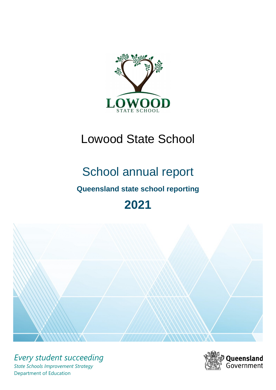

# Lowood State School

# School annual report

# **Queensland state school reporting**

# **2021**



*Every student succeeding State Schools Improvement Strategy* Department of Education

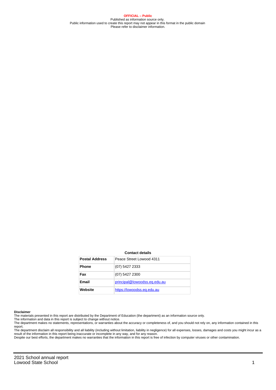**OFFICIAL – Public** Published as information source only. Public information used to create this report may not appear in this format in the public domain Please refer to disclaimer information.

#### **Contact details**

| <b>Postal Address</b> | Peace Street Lowood 4311     |
|-----------------------|------------------------------|
| <b>Phone</b>          | (07) 5427 2333               |
| Fax                   | (07) 5427 2300               |
| Email                 | principal@lowoodss.eq.edu.au |
| Website               | https://lowoodss.eq.edu.au   |

#### **Disclaimer**

The materials presented in this report are distributed by the Department of Education (the department) as an information source only.

The information and data in this report is subject to change without notice.<br>The department makes no statements, representations, or warranties about the accuracy or completeness of, and you should not rely on, any informa report.

The department disclaim all responsibility and all liability (including without limitation, liability in negligence) for all expenses, losses, damages and costs you might incur as a result of the information in this report being inaccurate or incomplete in any way, and for any reason. Despite our best efforts, the department makes no warranties that the information in this report is free of infection by computer viruses or other contamination.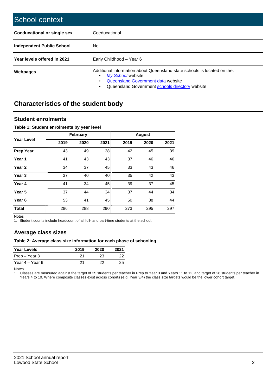| School context                   |                                                                                                                                                                                         |
|----------------------------------|-----------------------------------------------------------------------------------------------------------------------------------------------------------------------------------------|
| Coeducational or single sex      | Coeducational                                                                                                                                                                           |
| <b>Independent Public School</b> | No.                                                                                                                                                                                     |
| Year levels offered in 2021      | Early Childhood - Year 6                                                                                                                                                                |
| Webpages                         | Additional information about Queensland state schools is located on the:<br>My School website<br>Queensland Government data website<br>Queensland Government schools directory website. |

# **Characteristics of the student body**

### **Student enrolments**

#### **Table 1: Student enrolments by year level**

|                   |      | <b>February</b> |      |      | <b>August</b> |      |
|-------------------|------|-----------------|------|------|---------------|------|
| <b>Year Level</b> | 2019 | 2020            | 2021 | 2019 | 2020          | 2021 |
| <b>Prep Year</b>  | 43   | 49              | 38   | 42   | 45            | 39   |
| Year 1            | 41   | 43              | 43   | 37   | 46            | 46   |
| Year 2            | 34   | 37              | 45   | 33   | 43            | 46   |
| Year <sub>3</sub> | 37   | 40              | 40   | 35   | 42            | 43   |
| Year 4            | 41   | 34              | 45   | 39   | 37            | 45   |
| Year <sub>5</sub> | 37   | 44              | 34   | 37   | 44            | 34   |
| Year <sub>6</sub> | 53   | 41              | 45   | 50   | 38            | 44   |
| <b>Total</b>      | 286  | 288             | 290  | 273  | 295           | 297  |

Notes

1. Student counts include headcount of all full- and part-time students at the school.

## **Average class sizes**

#### **Table 2: Average class size information for each phase of schooling**

| <b>Year Levels</b> | 2019 | 2020 | 2021 |
|--------------------|------|------|------|
| Prep – Year 3      | 21   | 23   | 22   |
| Year 4 – Year 6    | 21   | フフ   | 25   |

Notes

1. Classes are measured against the target of 25 students per teacher in Prep to Year 3 and Years 11 to 12, and target of 28 students per teacher in Years 4 to 10. Where composite classes exist across cohorts (e.g. Year 3/4) the class size targets would be the lower cohort target.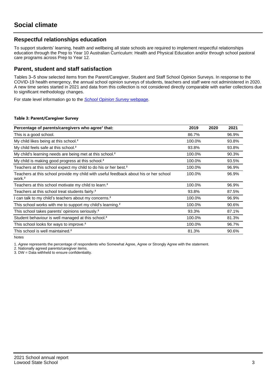## **Respectful relationships education**

To support students' learning, health and wellbeing all state schools are required to implement respectful relationships education through the Prep to Year 10 Australian Curriculum: Health and Physical Education and/or through school pastoral care programs across Prep to Year 12.

### **Parent, student and staff satisfaction**

Tables 3–5 show selected items from the Parent/Caregiver, Student and Staff School Opinion Surveys. In response to the COVID-19 health emergency, the annual school opinion surveys of students, teachers and staff were not administered in 2020. A new time series started in 2021 and data from this collection is not considered directly comparable with earlier collections due to significant methodology changes.

For state level information go to the **[School Opinion Survey](https://qed.qld.gov.au/publications/reports/statistics/schooling/schools/schoolopinionsurvey) webpage**.

#### **Table 3: Parent/Caregiver Survey**

| Percentage of parents/caregivers who agree <sup>1</sup> that:                                               | 2019   | 2020 | 2021  |
|-------------------------------------------------------------------------------------------------------------|--------|------|-------|
| This is a good school.                                                                                      | 86.7%  |      | 96.9% |
| My child likes being at this school. <sup>2</sup>                                                           | 100.0% |      | 93.8% |
| My child feels safe at this school. <sup>2</sup>                                                            | 93.8%  |      | 93.8% |
| My child's learning needs are being met at this school. <sup>2</sup>                                        | 100.0% |      | 90.3% |
| My child is making good progress at this school. <sup>2</sup>                                               | 100.0% |      | 93.5% |
| Teachers at this school expect my child to do his or her best. <sup>2</sup>                                 | 100.0% |      | 96.9% |
| Teachers at this school provide my child with useful feedback about his or her school<br>work. <sup>2</sup> | 100.0% |      | 96.9% |
| Teachers at this school motivate my child to learn. <sup>2</sup>                                            | 100.0% |      | 96.9% |
| Teachers at this school treat students fairly. <sup>2</sup>                                                 | 93.8%  |      | 87.5% |
| I can talk to my child's teachers about my concerns. <sup>2</sup>                                           | 100.0% |      | 96.9% |
| This school works with me to support my child's learning. <sup>2</sup>                                      | 100.0% |      | 90.6% |
| This school takes parents' opinions seriously. <sup>2</sup>                                                 | 93.3%  |      | 87.1% |
| Student behaviour is well managed at this school. <sup>2</sup>                                              | 100.0% |      | 81.3% |
| This school looks for ways to improve. <sup>2</sup>                                                         | 100.0% |      | 96.7% |
| This school is well maintained. <sup>2</sup>                                                                | 81.3%  |      | 90.6% |

Notes

1. Agree represents the percentage of respondents who Somewhat Agree, Agree or Strongly Agree with the statement.

2. Nationally agreed parents/caregiver items.

3. DW = Data withheld to ensure confidentiality.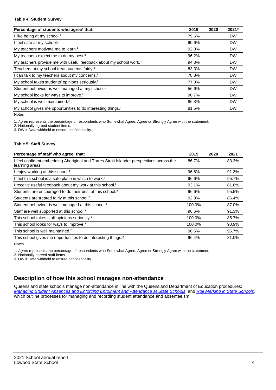#### **Table 4: Student Survey**

| Percentage of students who agree <sup>1</sup> that:                            | 2019  | 2020 | 2021*     |
|--------------------------------------------------------------------------------|-------|------|-----------|
| I like being at my school. <sup>2</sup>                                        | 79.6% |      | <b>DW</b> |
| I feel safe at my school. <sup>2</sup>                                         | 90.6% |      | <b>DW</b> |
| My teachers motivate me to learn. <sup>2</sup>                                 | 92.3% |      | <b>DW</b> |
| My teachers expect me to do my best. <sup>2</sup>                              | 96.2% |      | <b>DW</b> |
| My teachers provide me with useful feedback about my school work. <sup>2</sup> | 94.3% |      | <b>DW</b> |
| Teachers at my school treat students fairly. <sup>2</sup>                      | 83.3% |      | <b>DW</b> |
| I can talk to my teachers about my concerns. <sup>2</sup>                      | 78.8% |      | <b>DW</b> |
| My school takes students' opinions seriously. <sup>2</sup>                     | 77.8% |      | <b>DW</b> |
| Student behaviour is well managed at my school. <sup>2</sup>                   | 56.6% |      | <b>DW</b> |
| My school looks for ways to improve. <sup>2</sup>                              | 90.7% |      | <b>DW</b> |
| My school is well maintained. <sup>2</sup>                                     | 86.3% |      | <b>DW</b> |
| My school gives me opportunities to do interesting things. <sup>2</sup>        | 81.5% |      | <b>DW</b> |

Notes

1. Agree represents the percentage of respondents who Somewhat Agree, Agree or Strongly Agree with the statement.

2. Nationally agreed student items.

3. DW = Data withheld to ensure confidentiality.

#### **Table 5: Staff Survey**

| Percentage of staff who agree <sup>1</sup> that:                                                            | 2019   | 2020 | 2021  |
|-------------------------------------------------------------------------------------------------------------|--------|------|-------|
| I feel confident embedding Aboriginal and Torres Strait Islander perspectives across the<br>learning areas. | 86.7%  |      | 83.3% |
| I enjoy working at this school. <sup>2</sup>                                                                | 96.6%  |      | 91.3% |
| I feel this school is a safe place in which to work. <sup>2</sup>                                           | 96.6%  |      | 95.7% |
| I receive useful feedback about my work at this school. <sup>2</sup>                                        | 93.1%  |      | 81.8% |
| Students are encouraged to do their best at this school. <sup>2</sup>                                       | 96.6%  |      | 95.5% |
| Students are treated fairly at this school. <sup>2</sup>                                                    | 92.9%  |      | 86.4% |
| Student behaviour is well managed at this school. <sup>2</sup>                                              | 100.0% |      | 87.0% |
| Staff are well supported at this school. <sup>2</sup>                                                       | 96.6%  |      | 91.3% |
| This school takes staff opinions seriously. <sup>2</sup>                                                    | 100.0% |      | 85.7% |
| This school looks for ways to improve. <sup>2</sup>                                                         | 100.0% |      | 90.9% |
| This school is well maintained. <sup>2</sup>                                                                | 96.6%  |      | 95.7% |
| This school gives me opportunities to do interesting things. <sup>2</sup>                                   | 96.4%  |      | 81.0% |

Notes

1. Agree represents the percentage of respondents who Somewhat Agree, Agree or Strongly Agree with the statement.

2. Nationally agreed staff items.

3. DW = Data withheld to ensure confidentiality.

## **Description of how this school manages non-attendance**

Queensland state schools manage non-attendance in line with the Queensland Department of Education procedures: [Managing Student Absences and Enforcing Enrolment and Attendance at State Schools](https://ppr.qed.qld.gov.au/pp/managing-student-absences-and-enforcing-enrolment-and-attendance-at-state-schools-procedure); and [Roll Marking in State Schools,](https://ppr.qed.qld.gov.au/pp/roll-marking-in-state-schools-procedure) which outline processes for managing and recording student attendance and absenteeism.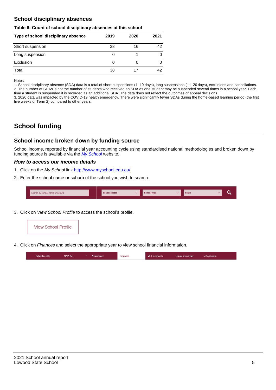## **School disciplinary absences**

#### **Table 6: Count of school disciplinary absences at this school**

| Type of school disciplinary absence | 2019 | 2020 | 2021 |
|-------------------------------------|------|------|------|
| Short suspension                    | 38   | 16   | 42   |
| Long suspension                     | O    |      |      |
| Exclusion                           | 0    |      |      |
| Total                               | 38   |      | 42   |

Notes

1. School disciplinary absence (SDA) data is a total of short suspensions (1–10 days), long suspensions (11–20 days), exclusions and cancellations. 2. The number of SDAs is not the number of students who received an SDA as one student may be suspended several times in a school year. Each time a student is suspended it is recorded as an additional SDA. The data does not reflect the outcomes of appeal decisions.

3. 2020 data was impacted by the COVID-19 health emergency. There were significantly fewer SDAs during the home-based learning period (the first five weeks of Term 2) compared to other years.

# **School funding**

## **School income broken down by funding source**

School income, reported by financial year accounting cycle using standardised national methodologies and broken down by funding source is available via the  $My$  School website.

#### **How to access our income details**

- 1. Click on the My School link <http://www.myschool.edu.au/>.
- 2. Enter the school name or suburb of the school you wish to search.

|  | Search by school name or suburb |  | <b>School sector</b> |  | $\sim$ and $\sim$ represents the set of $\sim$ | <b>State</b> |  |  |  |
|--|---------------------------------|--|----------------------|--|------------------------------------------------|--------------|--|--|--|
|--|---------------------------------|--|----------------------|--|------------------------------------------------|--------------|--|--|--|

3. Click on View School Profile to access the school's profile.



4. Click on Finances and select the appropriate year to view school financial information.

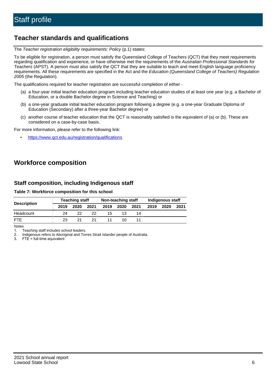# **Teacher standards and qualifications**

The Teacher registration eligibility requirements: Policy (p.1) states:

To be eligible for registration, a person must satisfy the Queensland College of Teachers (QCT) that they meet requirements regarding qualification and experience, or have otherwise met the requirements of the Australian Professional Standards for Teachers (APST). A person must also satisfy the QCT that they are suitable to teach and meet English language proficiency requirements. All these requirements are specified in the Act and the Education (Queensland College of Teachers) Regulation 2005 (the Regulation).

The qualifications required for teacher registration are successful completion of either -

- (a) a four-year initial teacher education program including teacher education studies of at least one year (e.g. a Bachelor of Education, or a double Bachelor degree in Science and Teaching) or
- (b) a one-year graduate initial teacher education program following a degree (e.g. a one-year Graduate Diploma of Education (Secondary) after a three-year Bachelor degree) or
- (c) another course of teacher education that the QCT is reasonably satisfied is the equivalent of (a) or (b). These are considered on a case-by-case basis.

For more information, please refer to the following link:

• <https://www.qct.edu.au/registration/qualifications>

# **Workforce composition**

## **Staff composition, including Indigenous staff**

#### **Table 7: Workforce composition for this school**

|                    |      | <b>Teaching staff</b> | Non-teaching staff |      |      |      | Indigenous staff |      |      |
|--------------------|------|-----------------------|--------------------|------|------|------|------------------|------|------|
| <b>Description</b> | 2019 | 2020                  | 2021               | 2019 | 2020 | 2021 | 2019             | 2020 | 2021 |
| Headcount          | 24   | 22                    | 22.                | 15   |      | 14   |                  |      |      |
| <b>FTE</b>         | 23   | 21                    | 21                 |      | 10   |      |                  |      |      |

Notes

1. Teaching staff includes school leaders.

2. Indigenous refers to Aboriginal and Torres Strait Islander people of Australia.

3. FTE = full-time equivalent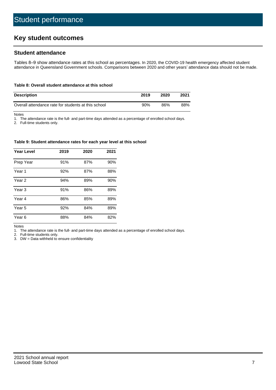# **Key student outcomes**

## **Student attendance**

Tables 8–9 show attendance rates at this school as percentages. In 2020, the COVID-19 health emergency affected student attendance in Queensland Government schools. Comparisons between 2020 and other years' attendance data should not be made.

#### **Table 8: Overall student attendance at this school**

| <b>Description</b>                                  | 2019 | 2020 | 2021 |
|-----------------------------------------------------|------|------|------|
| Overall attendance rate for students at this school | 90%  | 86%  | 88%  |

Notes

1. The attendance rate is the full- and part-time days attended as a percentage of enrolled school days.

2. Full-time students only.

#### **Table 9: Student attendance rates for each year level at this school**

| <b>Year Level</b> | 2019 | 2020 | 2021 |
|-------------------|------|------|------|
| Prep Year         | 91%  | 87%  | 90%  |
| Year <sub>1</sub> | 92%  | 87%  | 88%  |
| Year 2            | 94%  | 89%  | 90%  |
| Year <sub>3</sub> | 91%  | 86%  | 89%  |
| Year 4            | 86%  | 85%  | 89%  |
| Year 5            | 92%  | 84%  | 89%  |
| Year <sub>6</sub> | 88%  | 84%  | 82%  |

Notes

1. The attendance rate is the full- and part-time days attended as a percentage of enrolled school days.

2. Full-time students only.

3. DW = Data withheld to ensure confidentiality